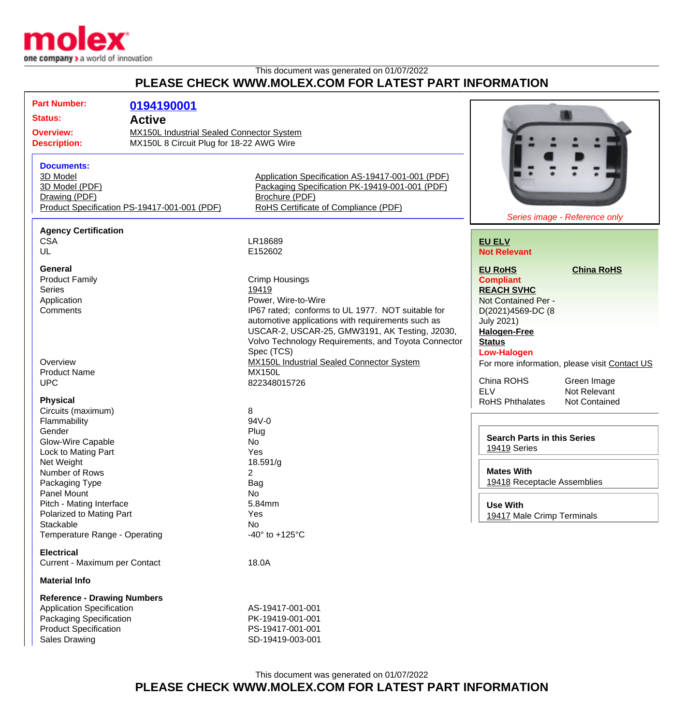

## This document was generated on 01/07/2022 **PLEASE CHECK WWW.MOLEX.COM FOR LATEST PART INFORMATION**

| <b>Part Number:</b>                          | 0194190001                                       |                                                     |                                                    |                               |
|----------------------------------------------|--------------------------------------------------|-----------------------------------------------------|----------------------------------------------------|-------------------------------|
| <b>Status:</b><br><b>Active</b>              |                                                  |                                                     |                                                    |                               |
|                                              |                                                  |                                                     |                                                    |                               |
| <b>Overview:</b>                             | <b>MX150L Industrial Sealed Connector System</b> |                                                     |                                                    |                               |
| <b>Description:</b>                          | MX150L 8 Circuit Plug for 18-22 AWG Wire         |                                                     |                                                    |                               |
| <b>Documents:</b>                            |                                                  |                                                     |                                                    |                               |
| 3D Model                                     |                                                  | Application Specification AS-19417-001-001 (PDF)    |                                                    |                               |
| 3D Model (PDF)                               |                                                  | Packaging Specification PK-19419-001-001 (PDF)      |                                                    |                               |
| Drawing (PDF)                                |                                                  | Brochure (PDF)                                      |                                                    |                               |
|                                              |                                                  |                                                     |                                                    |                               |
| Product Specification PS-19417-001-001 (PDF) |                                                  | RoHS Certificate of Compliance (PDF)                |                                                    | Series image - Reference only |
|                                              |                                                  |                                                     |                                                    |                               |
| <b>Agency Certification</b><br><b>CSA</b>    |                                                  | LR18689                                             |                                                    |                               |
|                                              |                                                  |                                                     | <b>EU ELV</b>                                      |                               |
| UL                                           |                                                  | E152602                                             | <b>Not Relevant</b>                                |                               |
| <b>General</b>                               |                                                  |                                                     | <b>EU RoHS</b>                                     | <b>China RoHS</b>             |
| <b>Product Family</b>                        |                                                  | <b>Crimp Housings</b>                               | <b>Compliant</b>                                   |                               |
| <b>Series</b>                                |                                                  | 19419                                               | <b>REACH SVHC</b>                                  |                               |
| Application                                  |                                                  | Power, Wire-to-Wire                                 | Not Contained Per -                                |                               |
| Comments                                     |                                                  | IP67 rated; conforms to UL 1977. NOT suitable for   | D(2021)4569-DC (8                                  |                               |
|                                              |                                                  | automotive applications with requirements such as   | <b>July 2021)</b>                                  |                               |
|                                              |                                                  | USCAR-2, USCAR-25, GMW3191, AK Testing, J2030,      |                                                    |                               |
|                                              |                                                  | Volvo Technology Requirements, and Toyota Connector | <b>Halogen-Free</b>                                |                               |
|                                              |                                                  |                                                     | <b>Status</b>                                      |                               |
|                                              |                                                  | Spec (TCS)                                          | <b>Low-Halogen</b>                                 |                               |
| Overview                                     |                                                  | <b>MX150L Industrial Sealed Connector System</b>    | For more information, please visit Contact US      |                               |
| <b>Product Name</b>                          |                                                  | <b>MX150L</b>                                       |                                                    |                               |
| <b>UPC</b>                                   |                                                  | 822348015726                                        | China ROHS                                         | Green Image                   |
|                                              |                                                  |                                                     | <b>ELV</b>                                         | Not Relevant                  |
| <b>Physical</b><br>Circuits (maximum)        |                                                  | 8                                                   | <b>RoHS Phthalates</b>                             | Not Contained                 |
| Flammability                                 |                                                  | $94V - 0$                                           |                                                    |                               |
|                                              |                                                  |                                                     |                                                    |                               |
| Gender                                       |                                                  | Plug                                                | <b>Search Parts in this Series</b><br>19419 Series |                               |
| Glow-Wire Capable                            |                                                  | No                                                  |                                                    |                               |
| Lock to Mating Part                          |                                                  | Yes                                                 |                                                    |                               |
| Net Weight                                   |                                                  | 18.591/g                                            |                                                    |                               |
| Number of Rows                               |                                                  | 2                                                   | <b>Mates With</b>                                  |                               |
| Packaging Type                               |                                                  | Bag                                                 | 19418 Receptacle Assemblies                        |                               |
| Panel Mount                                  |                                                  | No                                                  |                                                    |                               |
| Pitch - Mating Interface                     |                                                  | 5.84mm                                              | <b>Use With</b>                                    |                               |
| Polarized to Mating Part                     |                                                  | Yes                                                 | 19417 Male Crimp Terminals                         |                               |
| Stackable                                    |                                                  | No                                                  |                                                    |                               |
| Temperature Range - Operating                |                                                  | -40 $\degree$ to +125 $\degree$ C                   |                                                    |                               |
| <b>Electrical</b>                            |                                                  |                                                     |                                                    |                               |
| Current - Maximum per Contact                |                                                  | 18.0A                                               |                                                    |                               |
|                                              |                                                  |                                                     |                                                    |                               |
| <b>Material Info</b>                         |                                                  |                                                     |                                                    |                               |
| <b>Reference - Drawing Numbers</b>           |                                                  |                                                     |                                                    |                               |
| <b>Application Specification</b>             |                                                  | AS-19417-001-001                                    |                                                    |                               |
| Packaging Specification                      |                                                  | PK-19419-001-001                                    |                                                    |                               |
| <b>Product Specification</b>                 |                                                  | PS-19417-001-001                                    |                                                    |                               |
| <b>Sales Drawing</b>                         |                                                  | SD-19419-003-001                                    |                                                    |                               |